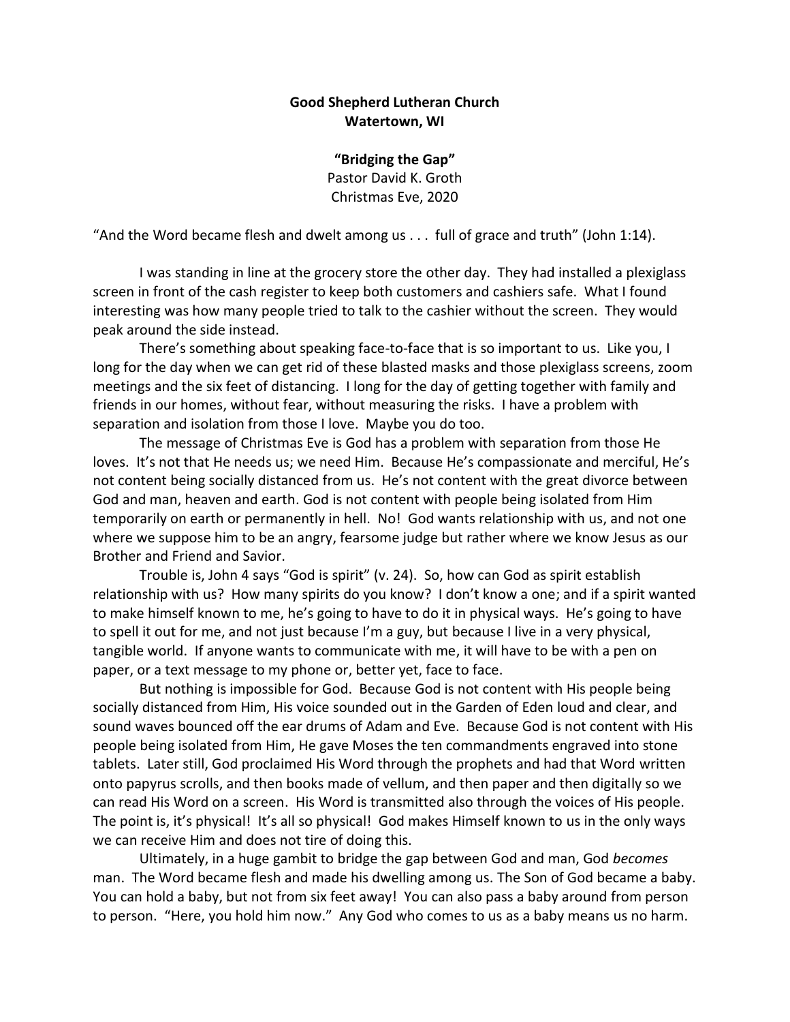## **Good Shepherd Lutheran Church Watertown, WI**

**"Bridging the Gap"** Pastor David K. Groth Christmas Eve, 2020

"And the Word became flesh and dwelt among us . . . full of grace and truth" (John 1:14).

I was standing in line at the grocery store the other day. They had installed a plexiglass screen in front of the cash register to keep both customers and cashiers safe. What I found interesting was how many people tried to talk to the cashier without the screen. They would peak around the side instead.

There's something about speaking face-to-face that is so important to us. Like you, I long for the day when we can get rid of these blasted masks and those plexiglass screens, zoom meetings and the six feet of distancing. I long for the day of getting together with family and friends in our homes, without fear, without measuring the risks. I have a problem with separation and isolation from those I love. Maybe you do too.

The message of Christmas Eve is God has a problem with separation from those He loves. It's not that He needs us; we need Him. Because He's compassionate and merciful, He's not content being socially distanced from us. He's not content with the great divorce between God and man, heaven and earth. God is not content with people being isolated from Him temporarily on earth or permanently in hell. No! God wants relationship with us, and not one where we suppose him to be an angry, fearsome judge but rather where we know Jesus as our Brother and Friend and Savior.

Trouble is, John 4 says "God is spirit" (v. 24). So, how can God as spirit establish relationship with us? How many spirits do you know? I don't know a one; and if a spirit wanted to make himself known to me, he's going to have to do it in physical ways. He's going to have to spell it out for me, and not just because I'm a guy, but because I live in a very physical, tangible world. If anyone wants to communicate with me, it will have to be with a pen on paper, or a text message to my phone or, better yet, face to face.

But nothing is impossible for God. Because God is not content with His people being socially distanced from Him, His voice sounded out in the Garden of Eden loud and clear, and sound waves bounced off the ear drums of Adam and Eve. Because God is not content with His people being isolated from Him, He gave Moses the ten commandments engraved into stone tablets. Later still, God proclaimed His Word through the prophets and had that Word written onto papyrus scrolls, and then books made of vellum, and then paper and then digitally so we can read His Word on a screen. His Word is transmitted also through the voices of His people. The point is, it's physical! It's all so physical! God makes Himself known to us in the only ways we can receive Him and does not tire of doing this.

Ultimately, in a huge gambit to bridge the gap between God and man, God *becomes* man. The Word became flesh and made his dwelling among us. The Son of God became a baby. You can hold a baby, but not from six feet away! You can also pass a baby around from person to person. "Here, you hold him now." Any God who comes to us as a baby means us no harm.